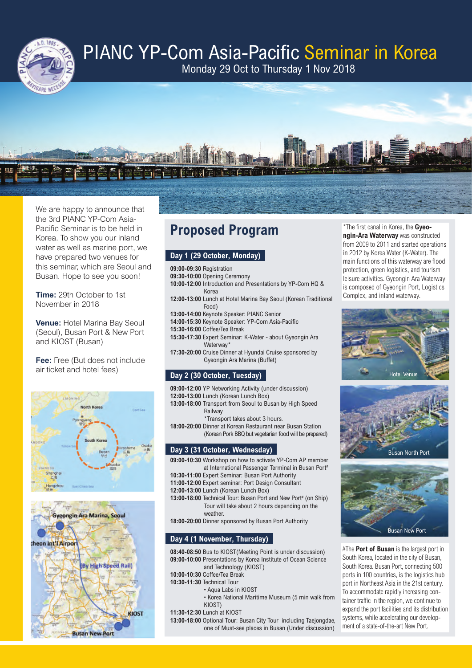

# PIANC YP-Com Asia-Pacific Seminar in Korea

Monday 29 Oct to Thursday 1 Nov 2018



We are happy to announce that the 3rd PIANC YP-Com Asia-Pacific Seminar is to be held in Korea. To show you our inland water as well as marine port, we have prepared two venues for this seminar, which are Seoul and Busan. Hope to see you soon!

**Time:** 29th October to 1st November in 2018

**Venue:** Hotel Marina Bay Seoul (Seoul), Busan Port & New Port and KIOST (Busan)

**Fee:** Free (But does not include air ticket and hotel fees)





# **Proposed Program**

# **Day 1 (29 October, Monday)**

- **09:00-09:30** Registration
- **09:30-10:00** Opening Ceremony **10:00-12:00** Introduction and Presentations by YP-Com HQ &
- Korea **12:00-13:00** Lunch at Hotel Marina Bay Seoul (Korean Traditional Food)
- **13:00-14:00** Keynote Speaker: PIANC Senior
- **14:00-15:30** Keynote Speaker: YP-Com Asia-Pacific
- **15:30-16:00** Coffee/Tea Break
- **15:30-17:30** Expert Seminar: K-Water about Gyeongin Ara Waterway\*
- **17:30-20:00** Cruise Dinner at Hyundai Cruise sponsored by Gyeongin Ara Marina (Buffet)

# **Day 2 (30 October, Tuesday)**

- **09:00-12:00** YP Networking Activity (under discussion)
- **12:00-13:00** Lunch (Korean Lunch Box)
- **13:00-18:00** Transport from Seoul to Busan by High Speed **Railway** 
	- \*Transport takes about 3 hours.
- **18:00-20:00** Dinner at Korean Restaurant near Busan Station (Korean Pork BBQ but vegetarian food will be prepared)

# **Day 3 (31 October, Wednesday)**

- **09:00-10:30** Workshop on how to activate YP-Com AP member at International Passenger Terminal in Busan Port<sup>#</sup>
- **10:30-11:00** Expert Seminar: Busan Port Authority
- **11:00-12:00** Expert seminar: Port Design Consultant
- **12:00-13:00** Lunch (Korean Lunch Box)
- 13:00-18:00 Technical Tour: Busan Port and New Port<sup>#</sup> (on Ship) Tour will take about 2 hours depending on the weather.

**18:00-20:00** Dinner sponsored by Busan Port Authority

# **Day 4 (1 November, Thursday)**

- **08:40-08:50** Bus to KIOST(Meeting Point is under discussion) **09:00-10:00** Presentations by Korea Institute of Ocean Science and Technology (KIOST)
- **10:00-10:30** Coffee/Tea Break
- **10:30-11:30** Technical Tour
	- Aqua Labs in KIOST
	- Korea National Maritime Museum (5 min walk from KIOST)
- **11:30-12:30** Lunch at KIOST
- **13:00-18:00** Optional Tour: Busan City Tour including Taejongdae, one of Must-see places in Busan (Under discussion)

\*The first canal in Korea, the **Gyeongin-Ara Waterway** was constructed from 2009 to 2011 and started operations in 2012 by Korea Water (K-Water). The main functions of this waterway are flood protection, green logistics, and tourism leisure activities. Gyeongin Ara Waterway is composed of Gyeongin Port, Logistics Complex, and inland waterway.







#The **Port of Busan** is the largest port in South Korea, located in the city of Busan, South Korea. Busan Port, connecting 500 ports in 100 countries, is the logistics hub port in Northeast Asia in the 21st century. To accommodate rapidly increasing container traffic in the region, we continue to expand the port facilities and its distribution systems, while accelerating our development of a state-of-the-art New Port.